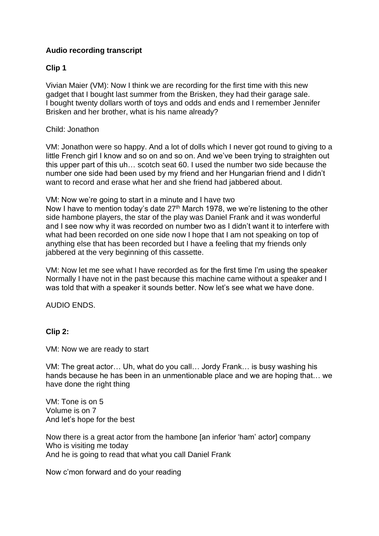# **Audio recording transcript**

## **Clip 1**

Vivian Maier (VM): Now I think we are recording for the first time with this new gadget that I bought last summer from the Brisken, they had their garage sale. I bought twenty dollars worth of toys and odds and ends and I remember Jennifer Brisken and her brother, what is his name already?

### Child: Jonathon

VM: Jonathon were so happy. And a lot of dolls which I never got round to giving to a little French girl I know and so on and so on. And we've been trying to straighten out this upper part of this uh… scotch seat 60. I used the number two side because the number one side had been used by my friend and her Hungarian friend and I didn't want to record and erase what her and she friend had jabbered about.

VM: Now we're going to start in a minute and I have two

Now I have to mention today's date 27<sup>th</sup> March 1978, we we're listening to the other side hambone players, the star of the play was Daniel Frank and it was wonderful and I see now why it was recorded on number two as I didn't want it to interfere with what had been recorded on one side now I hope that I am not speaking on top of anything else that has been recorded but I have a feeling that my friends only jabbered at the very beginning of this cassette.

VM: Now let me see what I have recorded as for the first time I'm using the speaker Normally I have not in the past because this machine came without a speaker and I was told that with a speaker it sounds better. Now let's see what we have done.

#### AUDIO ENDS.

## **Clip 2:**

VM: Now we are ready to start

VM: The great actor… Uh, what do you call… Jordy Frank… is busy washing his hands because he has been in an unmentionable place and we are hoping that… we have done the right thing

VM: Tone is on 5 Volume is on 7 And let's hope for the best

Now there is a great actor from the hambone [an inferior 'ham' actor] company Who is visiting me today And he is going to read that what you call Daniel Frank

Now c'mon forward and do your reading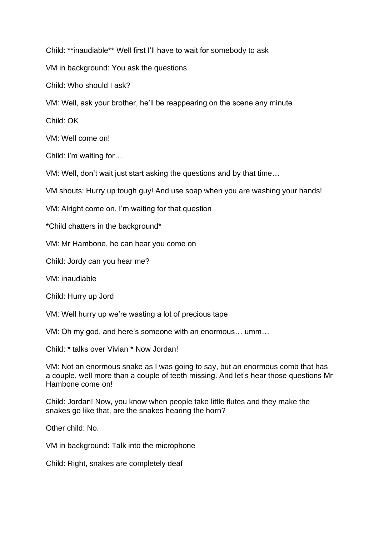Child: \*\*inaudiable\*\* Well first I'll have to wait for somebody to ask

VM in background: You ask the questions

Child: Who should I ask?

VM: Well, ask your brother, he'll be reappearing on the scene any minute

Child: OK

VM: Well come on!

Child: I'm waiting for…

VM: Well, don't wait just start asking the questions and by that time…

VM shouts: Hurry up tough guy! And use soap when you are washing your hands!

VM: Alright come on, I'm waiting for that question

\*Child chatters in the background\*

VM: Mr Hambone, he can hear you come on

Child: Jordy can you hear me?

VM: inaudiable

Child: Hurry up Jord

VM: Well hurry up we're wasting a lot of precious tape

VM: Oh my god, and here's someone with an enormous… umm…

Child: \* talks over Vivian \* Now Jordan!

VM: Not an enormous snake as I was going to say, but an enormous comb that has a couple, well more than a couple of teeth missing. And let's hear those questions Mr Hambone come on!

Child: Jordan! Now, you know when people take little flutes and they make the snakes go like that, are the snakes hearing the horn?

Other child: No.

VM in background: Talk into the microphone

Child: Right, snakes are completely deaf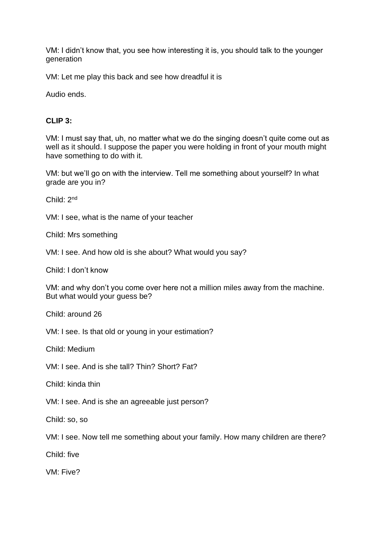VM: I didn't know that, you see how interesting it is, you should talk to the younger generation

VM: Let me play this back and see how dreadful it is

Audio ends.

### **CLIP 3:**

VM: I must say that, uh, no matter what we do the singing doesn't quite come out as well as it should. I suppose the paper you were holding in front of your mouth might have something to do with it.

VM: but we'll go on with the interview. Tell me something about yourself? In what grade are you in?

Child: 2nd

VM: I see, what is the name of your teacher

Child: Mrs something

VM: I see. And how old is she about? What would you say?

Child: I don't know

VM: and why don't you come over here not a million miles away from the machine. But what would your guess be?

Child: around 26

VM: I see. Is that old or young in your estimation?

Child: Medium

VM: I see. And is she tall? Thin? Short? Fat?

Child: kinda thin

VM: I see. And is she an agreeable just person?

Child: so, so

VM: I see. Now tell me something about your family. How many children are there?

Child: five

VM: Five?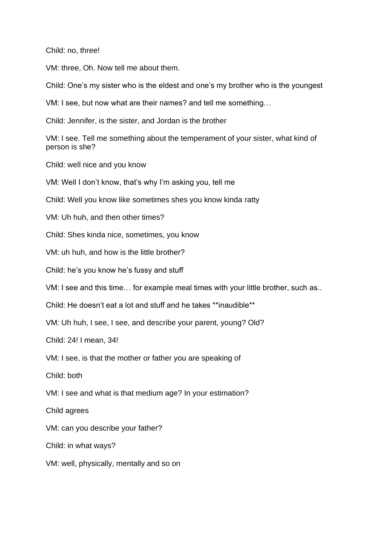Child: no, three!

VM: three, Oh. Now tell me about them.

Child: One's my sister who is the eldest and one's my brother who is the youngest

VM: I see, but now what are their names? and tell me something…

Child: Jennifer, is the sister, and Jordan is the brother

VM: I see. Tell me something about the temperament of your sister, what kind of person is she?

Child: well nice and you know

VM: Well I don't know, that's why I'm asking you, tell me

Child: Well you know like sometimes shes you know kinda ratty

VM: Uh huh, and then other times?

Child: Shes kinda nice, sometimes, you know

VM: uh huh, and how is the little brother?

Child: he's you know he's fussy and stuff

VM: I see and this time… for example meal times with your little brother, such as..

Child: He doesn't eat a lot and stuff and he takes \*\*inaudible\*\*

VM: Uh huh, I see, I see, and describe your parent, young? Old?

Child: 24! I mean, 34!

VM: I see, is that the mother or father you are speaking of

Child: both

VM: I see and what is that medium age? In your estimation?

Child agrees

VM: can you describe your father?

Child: in what ways?

VM: well, physically, mentally and so on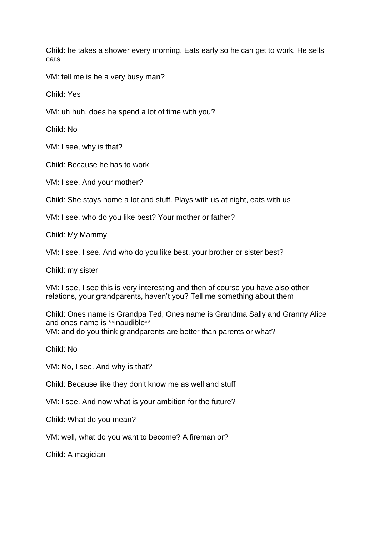Child: he takes a shower every morning. Eats early so he can get to work. He sells cars

VM: tell me is he a very busy man?

Child: Yes

VM: uh huh, does he spend a lot of time with you?

Child: No

VM: I see, why is that?

Child: Because he has to work

VM: I see. And your mother?

Child: She stays home a lot and stuff. Plays with us at night, eats with us

VM: I see, who do you like best? Your mother or father?

Child: My Mammy

VM: I see, I see. And who do you like best, your brother or sister best?

Child: my sister

VM: I see, I see this is very interesting and then of course you have also other relations, your grandparents, haven't you? Tell me something about them

Child: Ones name is Grandpa Ted, Ones name is Grandma Sally and Granny Alice and ones name is \*\*inaudible\*\* VM: and do you think grandparents are better than parents or what?

Child: No

VM: No, I see. And why is that?

Child: Because like they don't know me as well and stuff

VM: I see. And now what is your ambition for the future?

Child: What do you mean?

VM: well, what do you want to become? A fireman or?

Child: A magician